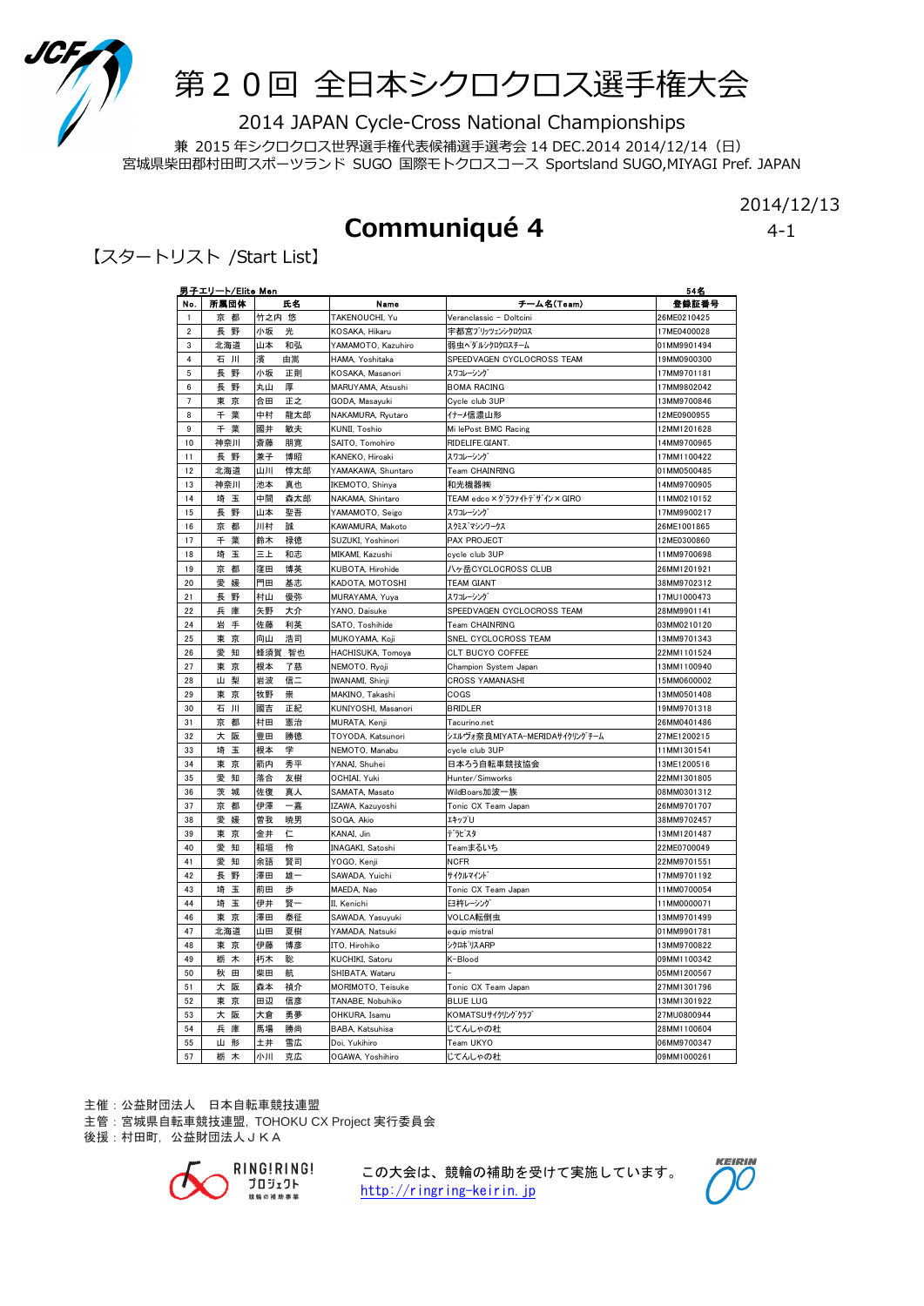

## 第20回 全日本シクロクロス選手権大会

2014 JAPAN Cycle-Cross National Championships

兼 2015 年シクロクロス世界選手権代表候補選手選考会 14 DEC.2014 2014/12/14(日) 宮城県柴田郡村田町スポーツランド SUGO 国際モトクロスコース Sportsland SUGO,MIYAGI Pref. JAPAN

#### 2014/12/13

### Communiqué 4 4-1

【スタートリスト /Start List】

| No.            | <u>男子エリート/Elite Men</u><br>所属団体 | 氏名        | Namo                | チーム名(Team)                     | 54名<br>登録証書号 |
|----------------|---------------------------------|-----------|---------------------|--------------------------------|--------------|
| $\mathbf{1}$   | 京 都                             | 竹之内 悠     | TAKENOUCHI, Yu      | Veranclassic - Doltcini        | 26ME0210425  |
| $\overline{2}$ | 長 野                             | 小坂<br>光   | KOSAKA, Hikaru      | 宇都宮ブリッツェンシクロクロス                | 17ME0400028  |
| 3              | 北海道                             | 山本<br>和弘  | YAMAMOTO, Kazuhiro  | 弱虫ベダルシクロクロスチーム                 | 01MM9901494  |
| $\overline{4}$ | 石 川                             | 濱<br>由嵩   | HAMA, Yoshitaka     | SPEEDVAGEN CYCLOCROSS TEAM     | 19MM0900300  |
| $\sqrt{5}$     | 長野                              | 小坂<br>正則  | KOSAKA, Masanori    | スワコレーシング                       | 17MM9701181  |
| 6              | 長野                              | 丸山<br>厚   | MARUYAMA, Atsushi   | <b>BOMA RACING</b>             | 17MM9802042  |
| $\overline{7}$ | 東 京                             | 正之<br>合田  | GODA, Masayuki      | Cvcle club 3UP                 | 13MM9700846  |
| 8              | 千葉                              | 中村<br>龍太郎 | NAKAMURA, Rvutaro   | イナーメ信濃山形                       | 12ME0900955  |
| 9              | 千葉                              | 敏夫<br>國井  | KUNII, Toshio       | Mi lePost BMC Racing           | 12MM1201628  |
| 10             | 神奈川                             | 斎藤<br>朋寛  | SAITO, Tomohiro     | RIDELIFE.GIANT.                | 14MM9700965  |
| 11             | 長 野                             | 兼子<br>博昭  | KANEKO, Hiroaki     | スワコレーシング                       | 17MM1100422  |
| 12             | 北海道                             | 山川<br>惇太郎 | YAMAKAWA, Shuntaro  | Team CHAINRING                 | 01MM0500485  |
| 13             | 神奈川                             | 池本<br>真也  | IKEMOTO, Shinya     | 和光機器㈱                          | 14MM9700905  |
| 14             | 埼 玉                             | 中間<br>森太郎 | NAKAMA, Shintaro    | TEAM edco × グラファイトデザイン × GIRO  | 11MM0210152  |
| 15             | 長 野                             | 聖吾<br>山本  | YAMAMOTO, Seigo     | スワコレーシング                       | 17MM9900217  |
| 16             | 京 都                             | 川村<br>誠   | KAWAMURA, Makoto    | スクミス゛マシンワークス                   | 26ME1001865  |
| 17             | 千葉                              | 鈴木<br>禄徳  | SUZUKI, Yoshinori   | PAX PROJECT                    | 12ME0300860  |
| 18             | 埼 玉                             | 三上<br>和志  | MIKAMI, Kazushi     | cycle club 3UP                 | 11MM9700698  |
| 19             | 京 都                             | 窪田<br>博英  | KUBOTA, Hirohide    | ハヶ岳CYCLOCROSS CLUB             | 26MM1201921  |
| 20             | 愛 媛                             | 門田<br>基志  | KADOTA, MOTOSHI     | <b>TEAM GIANT</b>              | 38MM9702312  |
| 21             | 長 野                             | 村山<br>優弥  | MURAYAMA, Yuya      | スワコレーシング                       | 17MU1000473  |
| 22             | 兵庫                              | 矢野<br>大介  | YANO, Daisuke       | SPEEDVAGEN CYCLOCROSS TEAM     | 28MM9901141  |
| 24             | 岩 手                             | 佐藤<br>利英  | SATO, Toshihide     | Team CHAINRING                 | 03MM0210120  |
| 25             | 東京                              | 向山<br>浩司  | MUKOYAMA, Koji      | SNEL CYCLOCROSS TEAM           | 13MM9701343  |
| 26             | 愛知                              | 蜂須賀 智也    | HACHISUKA, Tomoya   | CLT BUCYO COFFEE               | 22MM1101524  |
| 27             | 東京                              | 根本<br>了慈  | NEMOTO, Ryoji       | Champion System Japan          | 13MM1100940  |
| 28             | 山梨                              | 岩波<br>信二  | IWANAMI, Shinji     | <b>CROSS YAMANASHI</b>         | 15MM0600002  |
| 29             | 東京                              | 牧野<br>崇   | MAKINO, Takashi     | COGS                           | 13MM0501408  |
| 30             | 石川                              | 國吉<br>正紀  | KUNIYOSHI, Masanori | <b>BRIDLER</b>                 | 19MM9701318  |
| 31             | 京 都                             | 村田<br>憲治  | MURATA, Kenji       | Tacurino.net                   | 26MM0401486  |
| 32             | 大 阪                             | 豊田<br>勝徳  | TOYODA, Katsunori   | シェルヴォ奈良MIYATA-MERIDAサイクリング チーム | 27ME1200215  |
| 33             | 埼 玉                             | 学<br>根本   | NEMOTO, Manabu      | cycle club 3UP                 | 11MM1301541  |
| 34             | 東京                              | 箭内<br>秀平  | YANAI, Shuhei       | 日本ろう自転車競技協会                    | 13ME1200516  |
| 35             | 愛 知                             | 落合<br>友樹  | OCHIAI, Yuki        | Hunter/Simworks                | 22MM1301805  |
| 36             | 茨城                              | 佐復<br>真人  | SAMATA, Masato      | WildBoars加波一族                  | 08MM0301312  |
| 37             | 京 都                             | 伊澤<br>一嘉  | IZAWA, Kazuyoshi    | Tonic CX Team Japan            | 26MM9701707  |
| 38             | 愛<br>媛                          | 曽我<br>暁男  | SOGA, Akio          | エキップU                          | 38MM9702457  |
| 39             | 東京                              | 仁<br>金井   | KANAI, Jin          | デラピスタ                          | 13MM1201487  |
| 40             | 愛<br>知                          | 稲垣<br>怜   | INAGAKI, Satoshi    | Teamまるいち                       | 22ME0700049  |
| 41             | 愛 知                             | 余語<br>賢司  | YOGO, Kenji         | <b>NCFR</b>                    | 22MM9701551  |
| 42             | 野<br>長                          | 澤田<br>雄一  | SAWADA, Yuichi      | サイクルマイント                       | 17MM9701192  |
| 43             | 埼<br>玉                          | 前田<br>歩   | MAEDA, Nao          | Tonic CX Team Japan            | 11MM0700054  |
| 44             | 埼<br>玉                          | 伊井<br>賢一  | II, Kenichi         | 臼杵レーシング                        | 11MM0000071  |
| 46             | 東京                              | 澤田<br>泰征  | SAWADA, Yasuyuki    | VOLCA転倒虫                       | 13MM9701499  |
| 47             | 北海道                             | 山田<br>夏樹  | YAMADA, Natsuki     | equip mistral                  | 01MM9901781  |
| 48             | 東京                              | 伊藤<br>博彦  | ITO, Hirohiko       | シクロホッスARP                      | 13MM9700822  |
| 49             | 栃<br>木                          | 朽木<br>聡   | KUCHIKI, Satoru     | K-Blood                        | 09MM1100342  |
| 50             | 秋 田                             | 柴田<br>航   | SHIBATA, Wataru     |                                | 05MM1200567  |
| 51             | 阪<br>大                          | 森本<br>禎介  | MORIMOTO, Teisuke   | Tonic CX Team Japan            | 27MM1301796  |
| 52             | 東京                              | 田辺<br>信彦  | TANABE, Nobuhiko    | <b>BLUE LUG</b>                | 13MM1301922  |
| 53             | 阪<br>大                          | 大倉<br>勇夢  | OHKURA, Isamu       | KOMATSUサイクリングウラブ               | 27MU0800944  |
| 54             | 兵庫                              | 馬場<br>勝尚  | BABA, Katsuhisa     | じてんしゃの杜                        | 28MM1100604  |
| 55             | 山形                              | 土井<br>雪広  | Doi, Yukihiro       | Team UKYO                      | 06MM9700347  |
| 57             | 栃<br>木                          | 小川<br>克広  | OGAWA, Yoshihiro    | じてんしゃの杜                        | 09MM1000261  |

主催:公益財団法人 日本自転車競技連盟

主管:宮城県自転車競技連盟, TOHOKU CX Project 実行委員会 後援:村田町, 公益財団法人JKA



この大会は、競輪の補助を受けて実施しています。 http://ringring-keirin.jp